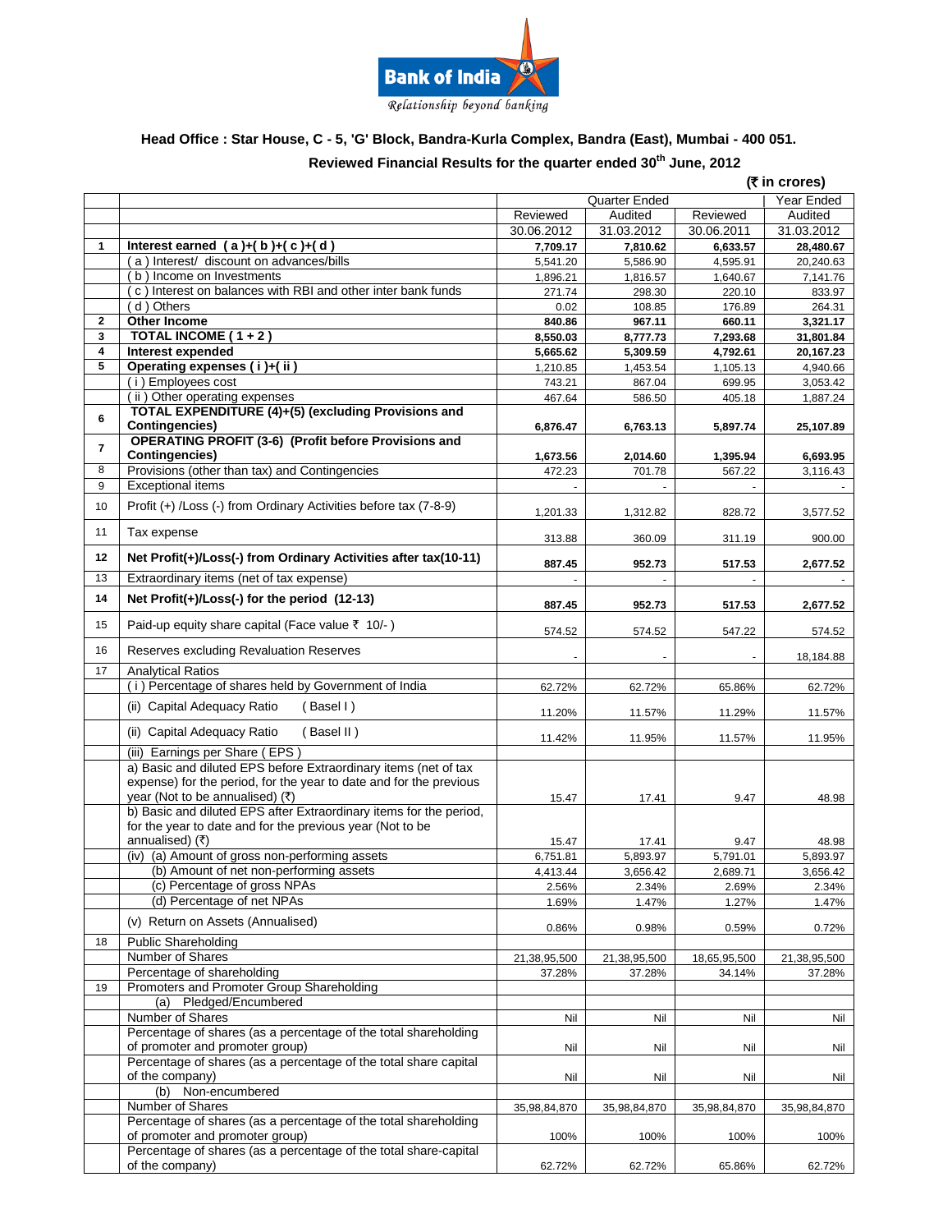

# **Head Office : Star House, C - 5, 'G' Block, Bandra-Kurla Complex, Bandra (East), Mumbai - 400 051.**

#### **Reviewed Financial Results for the quarter ended 30 th June, 2012**

|                |                                                                                                                                                                          | (₹ in crores)    |               |              |              |
|----------------|--------------------------------------------------------------------------------------------------------------------------------------------------------------------------|------------------|---------------|--------------|--------------|
|                |                                                                                                                                                                          |                  | Quarter Ended |              | Year Ended   |
|                |                                                                                                                                                                          | Reviewed         | Audited       | Reviewed     | Audited      |
|                |                                                                                                                                                                          | 30.06.2012       | 31.03.2012    | 30.06.2011   | 31.03.2012   |
| 1              | Interest earned $(a)+(b)+(c)+(d)$                                                                                                                                        | 7,709.17         | 7,810.62      | 6,633.57     | 28,480.67    |
|                | a) Interest/ discount on advances/bills                                                                                                                                  | 5,541.20         | 5,586.90      | 4,595.91     | 20,240.63    |
|                | b) Income on Investments                                                                                                                                                 | 1.896.21         | 1,816.57      | 1,640.67     | 7,141.76     |
|                | c) Interest on balances with RBI and other inter bank funds                                                                                                              | 271.74           | 298.30        | 220.10       | 833.97       |
|                | d) Others                                                                                                                                                                | 0.02             | 108.85        | 176.89       | 264.31       |
| $\mathbf{2}$   | <b>Other Income</b>                                                                                                                                                      | 840.86           | 967.11        | 660.11       | 3,321.17     |
| 3              | TOTAL INCOME ( $1+2$ )                                                                                                                                                   | 8,550.03         | 8,777.73      | 7,293.68     | 31,801.84    |
| 4              | Interest expended                                                                                                                                                        | 5,665.62         | 5,309.59      | 4,792.61     | 20,167.23    |
| 5              | Operating expenses (i)+(ii)                                                                                                                                              |                  | 1,453.54      |              | 4,940.66     |
|                | (i) Employees cost                                                                                                                                                       | 1,210.85         |               | 1,105.13     |              |
|                | (ii) Other operating expenses                                                                                                                                            | 743.21<br>467.64 | 867.04        | 699.95       | 3,053.42     |
| 6              | <b>TOTAL EXPENDITURE (4)+(5) (excluding Provisions and</b>                                                                                                               |                  | 586.50        | 405.18       | 1,887.24     |
|                | <b>Contingencies)</b>                                                                                                                                                    | 6,876.47         | 6,763.13      | 5,897.74     | 25,107.89    |
| $\overline{7}$ | <b>OPERATING PROFIT (3-6) (Profit before Provisions and</b>                                                                                                              |                  |               |              |              |
| 8              | <b>Contingencies)</b>                                                                                                                                                    | 1,673.56         | 2,014.60      | 1,395.94     | 6,693.95     |
|                | Provisions (other than tax) and Contingencies                                                                                                                            | 472.23           | 701.78        | 567.22       | 3,116.43     |
| 9              | <b>Exceptional items</b>                                                                                                                                                 |                  |               |              |              |
| 10             | Profit (+) /Loss (-) from Ordinary Activities before tax (7-8-9)                                                                                                         | 1,201.33         | 1,312.82      | 828.72       | 3,577.52     |
|                |                                                                                                                                                                          |                  |               |              |              |
| 11             | Tax expense                                                                                                                                                              | 313.88           | 360.09        | 311.19       | 900.00       |
| 12             | Net Profit(+)/Loss(-) from Ordinary Activities after tax(10-11)                                                                                                          | 887.45           | 952.73        | 517.53       | 2,677.52     |
| 13             | Extraordinary items (net of tax expense)                                                                                                                                 |                  |               |              |              |
| 14             | Net Profit(+)/Loss(-) for the period (12-13)                                                                                                                             |                  |               |              |              |
|                |                                                                                                                                                                          | 887.45           | 952.73        | 517.53       | 2,677.52     |
| 15             | Paid-up equity share capital (Face value ₹ 10/-)                                                                                                                         | 574.52           | 574.52        | 547.22       | 574.52       |
| 16             | Reserves excluding Revaluation Reserves                                                                                                                                  |                  |               |              | 18,184.88    |
| 17             | <b>Analytical Ratios</b>                                                                                                                                                 |                  |               |              |              |
|                | (i) Percentage of shares held by Government of India                                                                                                                     | 62.72%           | 62.72%        | 65.86%       | 62.72%       |
|                | (ii) Capital Adequacy Ratio<br>(Basel I)                                                                                                                                 | 11.20%           | 11.57%        | 11.29%       | 11.57%       |
|                | (ii) Capital Adequacy Ratio<br>(Basel II)                                                                                                                                | 11.42%           | 11.95%        | 11.57%       | 11.95%       |
|                | (iii) Earnings per Share (EPS)                                                                                                                                           |                  |               |              |              |
|                | a) Basic and diluted EPS before Extraordinary items (net of tax<br>expense) for the period, for the year to date and for the previous<br>year (Not to be annualised) (₹) | 15.47            | 17.41         | 9.47         | 48.98        |
|                | b) Basic and diluted EPS after Extraordinary items for the period,                                                                                                       |                  |               |              |              |
|                | for the year to date and for the previous year (Not to be                                                                                                                |                  |               |              |              |
|                | annualised) (₹)                                                                                                                                                          | 15.47            | 17.41         | 9.47         | 48.98        |
|                | (iv) (a) Amount of gross non-performing assets                                                                                                                           | 6,751.81         | 5,893.97      | 5,791.01     | 5,893.97     |
|                | (b) Amount of net non-performing assets                                                                                                                                  | 4,413.44         | 3,656.42      | 2,689.71     | 3,656.42     |
|                | (c) Percentage of gross NPAs                                                                                                                                             | 2.56%            | 2.34%         | 2.69%        | 2.34%        |
|                | (d) Percentage of net NPAs                                                                                                                                               | 1.69%            | 1.47%         | 1.27%        | 1.47%        |
|                | (v) Return on Assets (Annualised)                                                                                                                                        | 0.86%            | 0.98%         | 0.59%        | 0.72%        |
| 18             | <b>Public Shareholding</b>                                                                                                                                               |                  |               |              |              |
|                | Number of Shares                                                                                                                                                         | 21,38,95,500     | 21,38,95,500  | 18,65,95,500 | 21,38,95,500 |
|                | Percentage of shareholding                                                                                                                                               | 37.28%           | 37.28%        | 34.14%       | 37.28%       |
| 19             | Promoters and Promoter Group Shareholding                                                                                                                                |                  |               |              |              |
|                | Pledged/Encumbered<br>(a)                                                                                                                                                |                  |               |              |              |
|                | Number of Shares                                                                                                                                                         | Nil              | Nil           | Nil          | Nil          |
|                | Percentage of shares (as a percentage of the total shareholding<br>of promoter and promoter group)                                                                       | Nil              | Nil           | Nil          | Nil          |
|                | Percentage of shares (as a percentage of the total share capital<br>of the company)                                                                                      | Nil              | Nil           | Nil          | Nil          |
|                | (b) Non-encumbered                                                                                                                                                       |                  |               |              |              |
|                | Number of Shares                                                                                                                                                         |                  |               |              |              |
|                | Percentage of shares (as a percentage of the total shareholding                                                                                                          | 35,98,84,870     | 35,98,84,870  | 35,98,84,870 | 35,98,84,870 |
|                | of promoter and promoter group)                                                                                                                                          | 100%             | 100%          | 100%         | 100%         |
|                | Percentage of shares (as a percentage of the total share-capital                                                                                                         |                  |               |              |              |
|                | of the company)                                                                                                                                                          | 62.72%           | 62.72%        | 65.86%       | 62.72%       |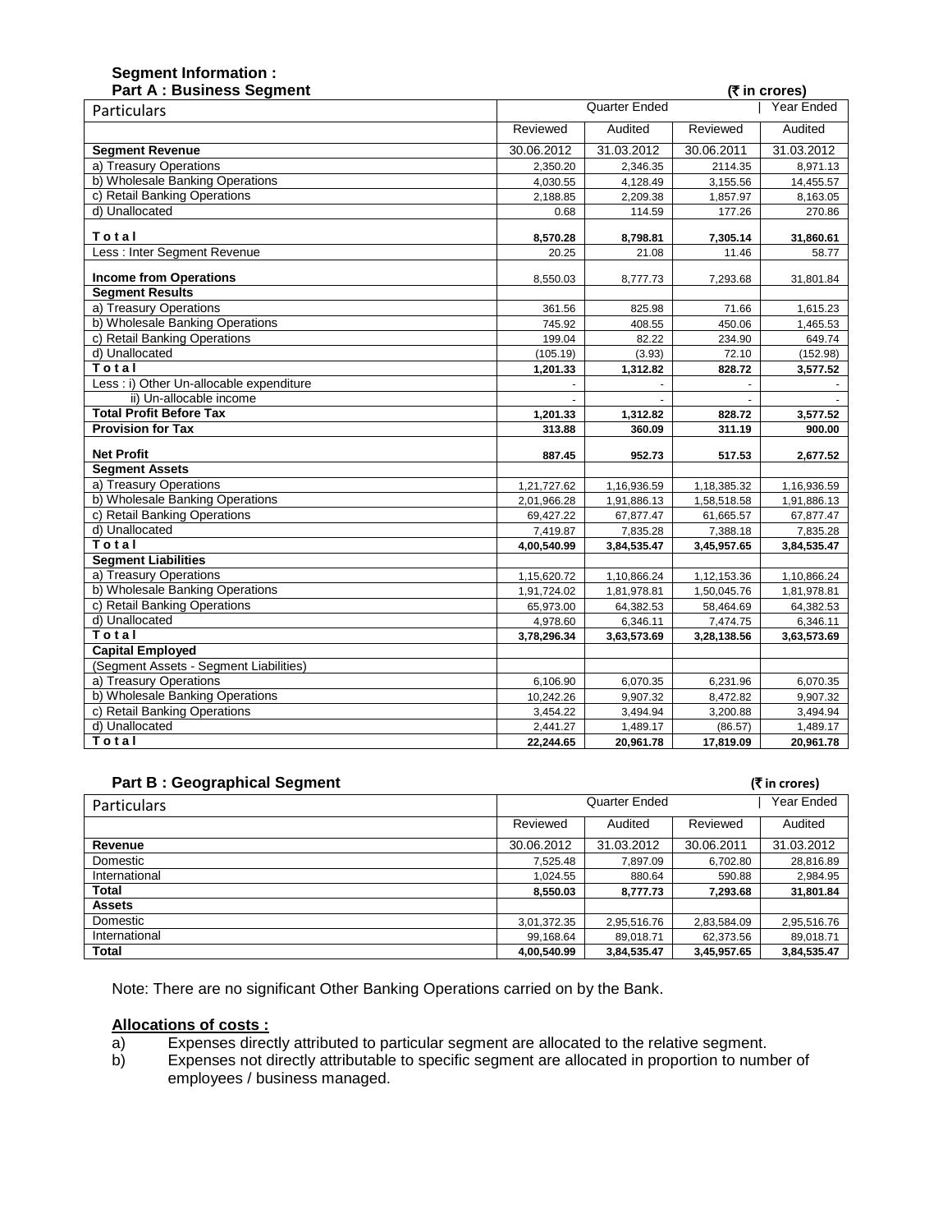| <b>Part A: Business Segment</b>          |                                    |             |             | (₹ in crores) |
|------------------------------------------|------------------------------------|-------------|-------------|---------------|
| Particulars                              | <b>Quarter Ended</b><br>Year Ended |             |             |               |
|                                          | Reviewed                           | Audited     | Reviewed    | Audited       |
| <b>Segment Revenue</b>                   | 30.06.2012                         | 31.03.2012  | 30.06.2011  | 31.03.2012    |
| a) Treasury Operations                   | 2,350.20                           | 2,346.35    | 2114.35     | 8,971.13      |
| b) Wholesale Banking Operations          | 4,030.55                           | 4,128.49    | 3,155.56    | 14,455.57     |
| c) Retail Banking Operations             | 2,188.85                           | 2,209.38    | 1,857.97    | 8,163.05      |
| d) Unallocated                           | 0.68                               | 114.59      | 177.26      | 270.86        |
| Total                                    | 8,570.28                           | 8,798.81    | 7,305.14    | 31,860.61     |
| Less : Inter Segment Revenue             | 20.25                              | 21.08       | 11.46       | 58.77         |
| <b>Income from Operations</b>            | 8,550.03                           | 8,777.73    | 7,293.68    | 31,801.84     |
| <b>Segment Results</b>                   |                                    |             |             |               |
| a) Treasury Operations                   | 361.56                             | 825.98      | 71.66       | 1,615.23      |
| b) Wholesale Banking Operations          | 745.92                             | 408.55      | 450.06      | 1,465.53      |
| c) Retail Banking Operations             | 199.04                             | 82.22       | 234.90      | 649.74        |
| d) Unallocated                           | (105.19)                           | (3.93)      | 72.10       | (152.98)      |
| Total                                    | 1,201.33                           | 1,312.82    | 828.72      | 3,577.52      |
| Less : i) Other Un-allocable expenditure |                                    |             |             |               |
| ii) Un-allocable income                  |                                    |             |             |               |
| <b>Total Profit Before Tax</b>           | 1,201.33                           | 1,312.82    | 828.72      | 3,577.52      |
| <b>Provision for Tax</b>                 | 313.88                             | 360.09      | 311.19      | 900.00        |
| <b>Net Profit</b>                        | 887.45                             | 952.73      | 517.53      | 2,677.52      |
| <b>Segment Assets</b>                    |                                    |             |             |               |
| a) Treasury Operations                   | 1,21,727.62                        | 1,16,936.59 | 1,18,385.32 | 1,16,936.59   |
| b) Wholesale Banking Operations          | 2,01,966.28                        | 1,91,886.13 | 1,58,518.58 | 1,91,886.13   |
| c) Retail Banking Operations             | 69,427.22                          | 67,877.47   | 61,665.57   | 67,877.47     |
| d) Unallocated                           | 7,419.87                           | 7,835.28    | 7,388.18    | 7,835.28      |
| Total                                    | 4,00,540.99                        | 3,84,535.47 | 3,45,957.65 | 3,84,535.47   |
| <b>Segment Liabilities</b>               |                                    |             |             |               |
| a) Treasury Operations                   | 1,15,620.72                        | 1,10,866.24 | 1,12,153.36 | 1,10,866.24   |
| b) Wholesale Banking Operations          | 1,91,724.02                        | 1,81,978.81 | 1,50,045.76 | 1,81,978.81   |
| c) Retail Banking Operations             | 65,973.00                          | 64,382.53   | 58,464.69   | 64,382.53     |
| d) Unallocated                           | 4,978.60                           | 6,346.11    | 7,474.75    | 6,346.11      |
| Total                                    | 3,78,296.34                        | 3,63,573.69 | 3,28,138.56 | 3,63,573.69   |
| <b>Capital Employed</b>                  |                                    |             |             |               |
| (Segment Assets - Segment Liabilities)   |                                    |             |             |               |
| a) Treasury Operations                   | 6,106.90                           | 6,070.35    | 6,231.96    | 6,070.35      |
| b) Wholesale Banking Operations          | 10,242.26                          | 9,907.32    | 8,472.82    | 9,907.32      |
| c) Retail Banking Operations             | 3.454.22                           | 3,494.94    | 3,200.88    | 3,494.94      |
| d) Unallocated                           | 2,441.27                           | 1,489.17    | (86.57)     | 1,489.17      |
| Total                                    | 22,244.65                          | 20,961.78   | 17,819.09   | 20,961.78     |

### **Part B : Geographical Segment (₹in crores)**

**Segment Information :**

| <b>Particulars</b> | Quarter Ended |             |             | Year Ended  |
|--------------------|---------------|-------------|-------------|-------------|
|                    | Reviewed      | Audited     | Reviewed    | Audited     |
| Revenue            | 30.06.2012    | 31.03.2012  | 30.06.2011  | 31.03.2012  |
| Domestic           | 7,525.48      | 7.897.09    | 6,702.80    | 28,816.89   |
| International      | 1.024.55      | 880.64      | 590.88      | 2,984.95    |
| Total              | 8,550.03      | 8,777.73    | 7,293.68    | 31,801.84   |
| <b>Assets</b>      |               |             |             |             |
| Domestic           | 3,01,372.35   | 2,95,516.76 | 2,83,584.09 | 2,95,516.76 |
| International      | 99,168.64     | 89.018.71   | 62,373.56   | 89.018.71   |
| <b>Total</b>       | 4.00.540.99   | 3.84.535.47 | 3.45.957.65 | 3.84.535.47 |

Note: There are no significant Other Banking Operations carried on by the Bank.

- **Allocations of costs :** Expenses directly attributed to particular segment are allocated to the relative segment.
- b) Expenses not directly attributable to specific segment are allocated in proportion to number of employees / business managed.